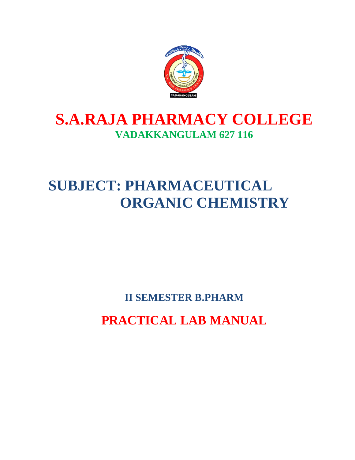

# **S.A.RAJA PHARMACY COLLEGE VADAKKANGULAM 627 116**

# **SUBJECT: PHARMACEUTICAL ORGANIC CHEMISTRY**

**II SEMESTER B.PHARM**

**PRACTICAL LAB MANUAL**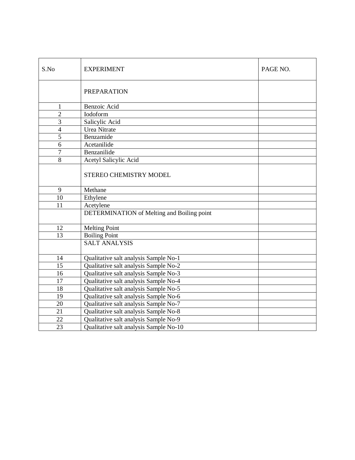| S.No            | <b>EXPERIMENT</b>                          | PAGE NO. |
|-----------------|--------------------------------------------|----------|
|                 | <b>PREPARATION</b>                         |          |
| 1               | Benzoic Acid                               |          |
| $\overline{2}$  | Iodoform                                   |          |
| 3               | Salicylic Acid                             |          |
| $\overline{4}$  | <b>Urea Nitrate</b>                        |          |
| 5               | Benzamide                                  |          |
| 6               | Acetanilide                                |          |
| 7               | Benzanilide                                |          |
| $\overline{8}$  | Acetyl Salicylic Acid                      |          |
|                 | STEREO CHEMISTRY MODEL                     |          |
| 9               | Methane                                    |          |
| 10              | Ethylene                                   |          |
| 11              | Acetylene                                  |          |
|                 | DETERMINATION of Melting and Boiling point |          |
| 12              | <b>Melting Point</b>                       |          |
| 13              | <b>Boiling Point</b>                       |          |
|                 | <b>SALT ANALYSIS</b>                       |          |
| 14              | Qualitative salt analysis Sample No-1      |          |
| $\overline{15}$ | Qualitative salt analysis Sample No-2      |          |
| 16              | Qualitative salt analysis Sample No-3      |          |
| 17              | Qualitative salt analysis Sample No-4      |          |
| 18              | Qualitative salt analysis Sample No-5      |          |
| 19              | Qualitative salt analysis Sample No-6      |          |
| $\overline{20}$ | Qualitative salt analysis Sample No-7      |          |
| 21              | Qualitative salt analysis Sample No-8      |          |
| 22              | Qualitative salt analysis Sample No-9      |          |
| 23              | Qualitative salt analysis Sample No-10     |          |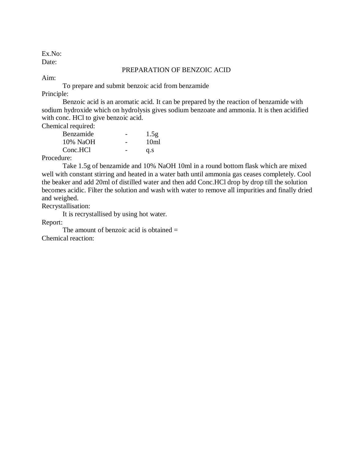# PREPARATION OF BENZOIC ACID

Aim:

To prepare and submit benzoic acid from benzamide Principle:

Benzoic acid is an aromatic acid. It can be prepared by the reaction of benzamide with sodium hydroxide which on hydrolysis gives sodium benzoate and ammonia. It is then acidified with conc. HCl to give benzoic acid.

Chemical required:

| Benzamide | 1.5g |
|-----------|------|
| 10% NaOH  | 10ml |
| Conc.HCl  | q.s  |

Procedure:

Take 1.5g of benzamide and 10% NaOH 10ml in a round bottom flask which are mixed well with constant stirring and heated in a water bath until ammonia gas ceases completely. Cool the beaker and add 20ml of distilled water and then add Conc.HCl drop by drop till the solution becomes acidic. Filter the solution and wash with water to remove all impurities and finally dried and weighed.

Recrystallisation:

It is recrystallised by using hot water.

Report:

The amount of benzoic acid is obtained  $=$ Chemical reaction: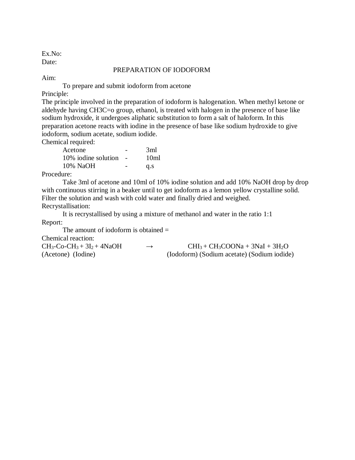### PREPARATION OF IODOFORM

Aim:

To prepare and submit iodoform from acetone

Principle:

The principle involved in the preparation of iodoform is halogenation. When methyl ketone or aldehyde having CH3C=o group, ethanol, is treated with halogen in the presence of base like sodium hydroxide, it undergoes aliphatic substitution to form a salt of haloform. In this preparation acetone reacts with iodine in the presence of base like sodium hydroxide to give iodoform, sodium acetate, sodium iodide.

Chemical required:

| Acetone             | 3ml  |
|---------------------|------|
| 10% iodine solution | 10ml |
| 10% NaOH            | q.s  |

Procedure:

Take 3ml of acetone and 10ml of 10% iodine solution and add 10% NaOH drop by drop with continuous stirring in a beaker until to get iodoform as a lemon yellow crystalline solid. Filter the solution and wash with cold water and finally dried and weighed. Recrystallisation:

It is recrystallised by using a mixture of methanol and water in the ratio 1:1 Report:

The amount of iodoform is obtained  $=$ Chemical reaction:

 $CH_3-C_0-CH_3 + 3I_2 + 4NaOH \rightarrow CHI_3 + CH_3COONa + 3NaI + 3H_2O$ (Acetone) (Iodine) (Iodoform) (Sodium acetate) (Sodium iodide)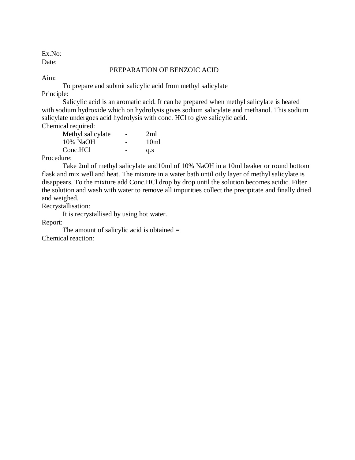## PREPARATION OF BENZOIC ACID

Aim:

To prepare and submit salicylic acid from methyl salicylate Principle:

Salicylic acid is an aromatic acid. It can be prepared when methyl salicylate is heated with sodium hydroxide which on hydrolysis gives sodium salicylate and methanol. This sodium salicylate undergoes acid hydrolysis with conc. HCl to give salicylic acid. Chemical required:

| Methyl salicylate | 2ml             |
|-------------------|-----------------|
| 10% NaOH          | 10 <sub>m</sub> |
| Conc.HCl          | q.s             |

Procedure:

Take 2ml of methyl salicylate and10ml of 10% NaOH in a 10ml beaker or round bottom flask and mix well and heat. The mixture in a water bath until oily layer of methyl salicylate is disappears. To the mixture add Conc.HCl drop by drop until the solution becomes acidic. Filter the solution and wash with water to remove all impurities collect the precipitate and finally dried and weighed.

Recrystallisation:

It is recrystallised by using hot water.

Report:

The amount of salicylic acid is obtained  $=$ Chemical reaction: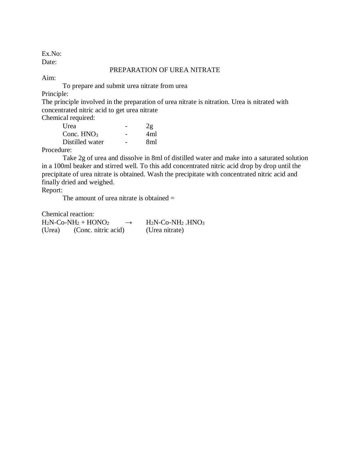PREPARATION OF UREA NITRATE

Aim:

To prepare and submit urea nitrate from urea

Principle:

The principle involved in the preparation of urea nitrate is nitration. Urea is nitrated with concentrated nitric acid to get urea nitrate

Chemical required:

| Urea            | 2g  |
|-----------------|-----|
| Conc. $HNO3$    | 4ml |
| Distilled water | 8ml |

Procedure:

Take 2g of urea and dissolve in 8ml of distilled water and make into a saturated solution in a 100ml beaker and stirred well. To this add concentrated nitric acid drop by drop until the precipitate of urea nitrate is obtained. Wash the precipitate with concentrated nitric acid and finally dried and weighed.

Report:

The amount of urea nitrate is obtained  $=$ 

Chemical reaction:

|        | $H_2N$ -Co-N $H_2$ + HONO <sub>2</sub><br>$\rightarrow$ | $H_2N$ -Co-N $H_2$ .HNO <sub>3</sub> |
|--------|---------------------------------------------------------|--------------------------------------|
| (Urea) | (Conc. nitric acid)                                     | (Urea nitrate)                       |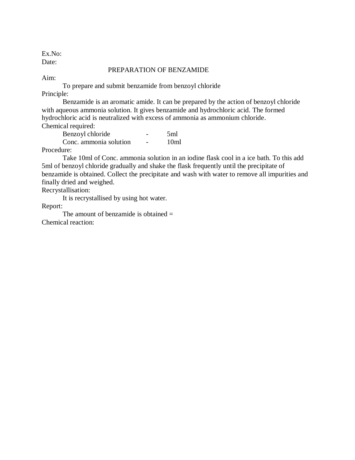#### PREPARATION OF BENZAMIDE

Aim:

To prepare and submit benzamide from benzoyl chloride Principle:

Benzamide is an aromatic amide. It can be prepared by the action of benzoyl chloride with aqueous ammonia solution. It gives benzamide and hydrochloric acid. The formed hydrochloric acid is neutralized with excess of ammonia as ammonium chloride. Chemical required:

Benzoyl chloride - 5ml Conc. ammonia solution - 10ml

Procedure:

Take 10ml of Conc. ammonia solution in an iodine flask cool in a ice bath. To this add 5ml of benzoyl chloride gradually and shake the flask frequently until the precipitate of benzamide is obtained. Collect the precipitate and wash with water to remove all impurities and finally dried and weighed.

Recrystallisation:

It is recrystallised by using hot water.

Report:

The amount of benzamide is obtained  $=$ Chemical reaction: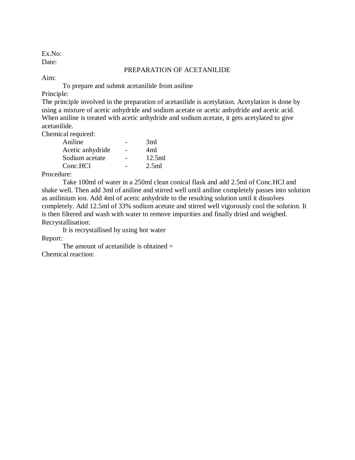## PREPARATION OF ACETANILIDE

Aim:

To prepare and submit acetanilide from aniline

Principle:

The principle involved in the preparation of acetanilide is acetylation. Acetylation is done by using a mixture of acetic anhydride and sodium acetate or acetic anhydride and acetic acid. When aniline is treated with acetic anhydride and sodium acetate, it gets acetylated to give acetanilide.

Chemical required:

| Aniline          | 3ml    |
|------------------|--------|
| Acetic anhydride | 4ml    |
| Sodium acetate   | 12.5ml |
| Conc.HCl         | 2.5ml  |

Procedure:

Take 100ml of water in a 250ml clean conical flask and add 2.5ml of Conc.HCl and shake well. Then add 3ml of aniline and stirred well until aniline completely passes into solution as anilinium ion. Add 4ml of acetic anhydride to the resulting solution until it dissolves completely. Add 12.5ml of 33% sodium acetate and stirred well vigorously cool the solution. It is then filtered and wash with water to remove impurities and finally dried and weighed. Recrystallisation:

It is recrystallised by using hot water

Report:

The amount of acetanilide is obtained  $=$ Chemical reaction: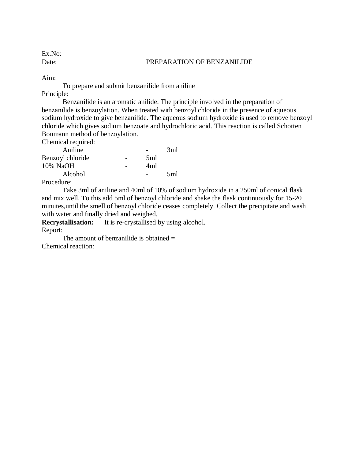Ex.No:

#### Date: PREPARATION OF BENZANILIDE

Aim:

To prepare and submit benzanilide from aniline

Principle:

Benzanilide is an aromatic anilide. The principle involved in the preparation of benzanilide is benzoylation. When treated with benzoyl chloride in the presence of aqueous sodium hydroxide to give benzanilide. The aqueous sodium hydroxide is used to remove benzoyl chloride which gives sodium benzoate and hydrochloric acid. This reaction is called Schotten Boumann method of benzoylation.

| Chemical required: |     |     |
|--------------------|-----|-----|
| Aniline            |     | 3ml |
| Benzoyl chloride   | 5ml |     |
| 10% NaOH           | 4ml |     |
| Alcohol            |     | 5ml |

Procedure:

Take 3ml of aniline and 40ml of 10% of sodium hydroxide in a 250ml of conical flask and mix well. To this add 5ml of benzoyl chloride and shake the flask continuously for 15-20 minutes,until the smell of benzoyl chloride ceases completely. Collect the precipitate and wash with water and finally dried and weighed.

**Recrystallisation:** It is re-crystallised by using alcohol. Report:

The amount of benzanilide is obtained  $=$ Chemical reaction: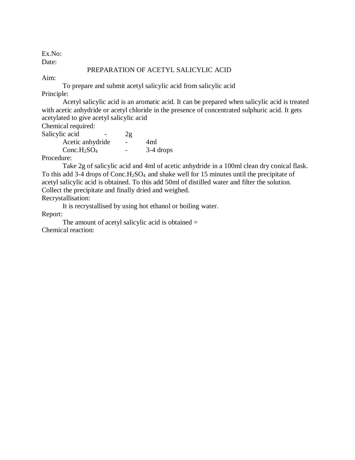Ex.No:

Date:

# PREPARATION OF ACETYL SALICYLIC ACID

Aim:

To prepare and submit acetyl salicylic acid from salicylic acid Principle:

Acetyl salicylic acid is an aromatic acid. It can be prepared when salicylic acid is treated with acetic anhydride or acetyl chloride in the presence of concentrated sulphuric acid. It gets acetylated to give acetyl salicylic acid

Chemical required:

| Salicylic acid                                          | 2g |           |
|---------------------------------------------------------|----|-----------|
| Acetic anhydride                                        |    | 4ml       |
| Conc.H <sub>2</sub> SO <sub>4</sub>                     |    | 3-4 drops |
| $\mathbf{D}_{\text{max}}$ and $\mathbf{J}_{\text{max}}$ |    |           |

Procedure:

Take 2g of salicylic acid and 4ml of acetic anhydride in a 100ml clean dry conical flask. To this add 3-4 drops of Conc.H<sub>2</sub>SO<sub>4</sub> and shake well for 15 minutes until the precipitate of acetyl salicylic acid is obtained. To this add 50ml of distilled water and filter the solution. Collect the precipitate and finally dried and weighed.

Recrystallisation:

It is recrystallised by using hot ethanol or boiling water.

Report:

The amount of acetyl salicylic acid is obtained  $=$ Chemical reaction: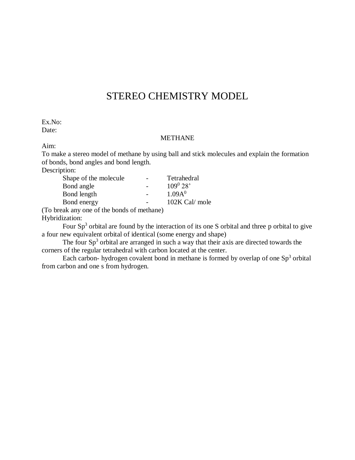# STEREO CHEMISTRY MODEL

Ex.No: Date:

Aim:

# METHANE

To make a stereo model of methane by using ball and stick molecules and explain the formation of bonds, bond angles and bond length.

Description:

| Shape of the molecule | Tetrahedral    |
|-----------------------|----------------|
| Bond angle            | $109^0 28'$    |
| Bond length           | $1.09A^{0}$    |
| Bond energy           | 102K Cal/ mole |
|                       |                |

(To break any one of the bonds of methane) Hybridization:

Four  $Sp<sup>3</sup>$  orbital are found by the interaction of its one S orbital and three p orbital to give a four new equivalent orbital of identical (some energy and shape)

The four  $Sp<sup>3</sup>$  orbital are arranged in such a way that their axis are directed towards the corners of the regular tetrahedral with carbon located at the center.

Each carbon- hydrogen covalent bond in methane is formed by overlap of one  $Sp<sup>3</sup>$  orbital from carbon and one s from hydrogen.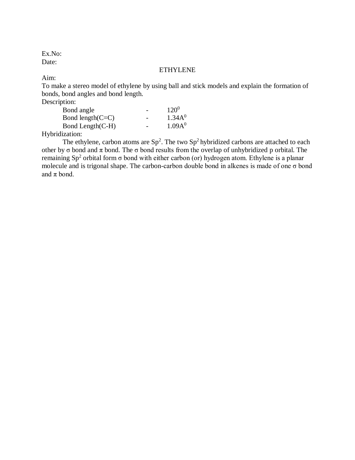Aim:

# ETHYLENE

To make a stereo model of ethylene by using ball and stick models and explain the formation of bonds, bond angles and bond length.

Description:

| Bond angle          | $\overline{\phantom{0}}$ | $120^{0}$   |
|---------------------|--------------------------|-------------|
| Bond length $(C=C)$ | $\overline{\phantom{0}}$ | $1.34A^{0}$ |
| Bond Length $(C-H)$ | $\overline{\phantom{0}}$ | $1.09A^{0}$ |

Hybridization:

The ethylene, carbon atoms are  $Sp^2$ . The two  $Sp^2$  hybridized carbons are attached to each other by  $\sigma$  bond and  $\pi$  bond. The  $\sigma$  bond results from the overlap of unhybridized p orbital. The remaining Sp<sup>2</sup> orbital form  $\sigma$  bond with either carbon (or) hydrogen atom. Ethylene is a planar molecule and is trigonal shape. The carbon-carbon double bond in alkenes is made of one  $\sigma$  bond and  $\pi$  bond.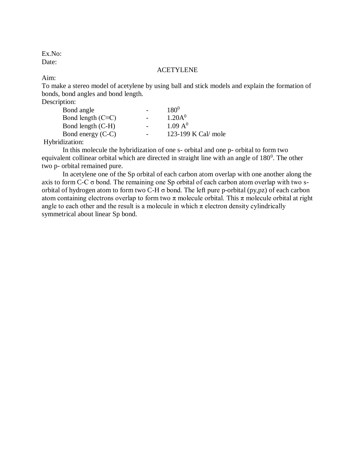# ACETYLENE

Aim: To make a stereo model of acetylene by using ball and stick models and explain the formation of bonds, bond angles and bond length.

Description:

| Bond angle          | $\overline{\phantom{0}}$ | $180^{0}$           |
|---------------------|--------------------------|---------------------|
| Bond length $(C=C)$ |                          | 1.20A <sup>0</sup>  |
| Bond length (C-H)   | $\overline{\phantom{0}}$ | $1.09 A^{0}$        |
| Bond energy $(C-C)$ | $\overline{\phantom{0}}$ | 123-199 K Cal/ mole |
| $\lambda$ irationi  |                          |                     |

Hybridization:

In this molecule the hybridization of one s- orbital and one p- orbital to form two equivalent collinear orbital which are directed in straight line with an angle of  $180^0$ . The other two p- orbital remained pure.

In acetylene one of the Sp orbital of each carbon atom overlap with one another along the axis to form  $C-C$   $\sigma$  bond. The remaining one Sp orbital of each carbon atom overlap with two sorbital of hydrogen atom to form two C-H σ bond. The left pure p-orbital (py,pz) of each carbon atom containing electrons overlap to form two  $\pi$  molecule orbital. This  $\pi$  molecule orbital at right angle to each other and the result is a molecule in which  $\pi$  electron density cylindrically symmetrical about linear Sp bond.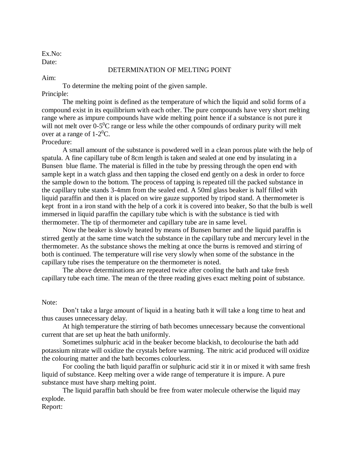## DETERMINATION OF MELTING POINT

Aim:

To determine the melting point of the given sample.

Principle:

The melting point is defined as the temperature of which the liquid and solid forms of a compound exist in its equilibrium with each other. The pure compounds have very short melting range where as impure compounds have wide melting point hence if a substance is not pure it will not melt over 0-5<sup>0</sup>C range or less while the other compounds of ordinary purity will melt over at a range of  $1\n-2$ <sup>o</sup>C.

## Procedure:

A small amount of the substance is powdered well in a clean porous plate with the help of spatula. A fine capillary tube of 8cm length is taken and sealed at one end by insulating in a Bunsen blue flame. The material is filled in the tube by pressing through the open end with sample kept in a watch glass and then tapping the closed end gently on a desk in order to force the sample down to the bottom. The process of tapping is repeated till the packed substance in the capillary tube stands 3-4mm from the sealed end. A 50ml glass beaker is half filled with liquid paraffin and then it is placed on wire gauze supported by tripod stand. A thermometer is kept front in a iron stand with the help of a cork it is covered into beaker, So that the bulb is well immersed in liquid paraffin the capillary tube which is with the substance is tied with thermometer. The tip of thermometer and capillary tube are in same level.

Now the beaker is slowly heated by means of Bunsen burner and the liquid paraffin is stirred gently at the same time watch the substance in the capillary tube and mercury level in the thermometer. As the substance shows the melting at once the burns is removed and stirring of both is continued. The temperature will rise very slowly when some of the substance in the capillary tube rises the temperature on the thermometer is noted.

The above determinations are repeated twice after cooling the bath and take fresh capillary tube each time. The mean of the three reading gives exact melting point of substance.

#### Note:

Don't take a large amount of liquid in a heating bath it will take a long time to heat and thus causes unnecessary delay.

At high temperature the stirring of bath becomes unnecessary because the conventional current that are set up heat the bath uniformly.

Sometimes sulphuric acid in the beaker become blackish, to decolourise the bath add potassium nitrate will oxidize the crystals before warming. The nitric acid produced will oxidize the colouring matter and the bath becomes colourless.

For cooling the bath liquid paraffin or sulphuric acid stir it in or mixed it with same fresh liquid of substance. Keep melting over a wide range of temperature it is impure. A pure substance must have sharp melting point.

The liquid paraffin bath should be free from water molecule otherwise the liquid may explode.

Report: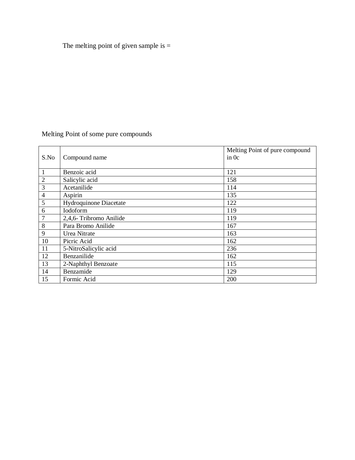The melting point of given sample is  $=$ 

# Melting Point of some pure compounds

| S.No           | Compound name           | Melting Point of pure compound<br>$\sin 0c$ |
|----------------|-------------------------|---------------------------------------------|
| $\mathbf{1}$   | Benzoic acid            | 121                                         |
| $\sqrt{2}$     | Salicylic acid          | 158                                         |
| 3              | Acetanilide             | 114                                         |
| $\overline{4}$ | Aspirin                 | 135                                         |
| $\sqrt{5}$     | Hydroquinone Diacetate  | 122                                         |
| 6              | Iodoform                | 119                                         |
| $\tau$         | 2,4,6- Tribromo Anilide | 119                                         |
| 8              | Para Bromo Anilide      | 167                                         |
| 9              | Urea Nitrate            | 163                                         |
| 10             | Picric Acid             | 162                                         |
| 11             | 5-NitroSalicylic acid   | 236                                         |
| 12             | Benzanilide             | 162                                         |
| 13             | 2-Naphthyl Benzoate     | 115                                         |
| 14             | Benzamide               | 129                                         |
| 15             | Formic Acid             | 200                                         |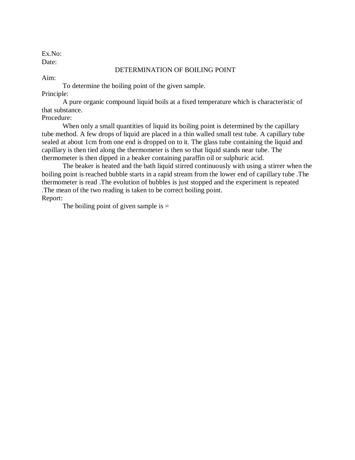## DETERMINATION OF BOILING POINT

Aim:

To determine the boiling point of the given sample.

Principle:

A pure organic compound liquid boils at a fixed temperature which is characteristic of that substance.

Procedure:

When only a small quantities of liquid its boiling point is determined by the capillary tube method. A few drops of liquid are placed in a thin walled small test tube. A capillary tube sealed at about 1cm from one end is dropped on to it. The glass tube containing the liquid and capillary is then tied along the thermometer is then so that liquid stands near tube. The thermometer is then dipped in a beaker containing paraffin oil or sulphuric acid.

The beaker is heated and the bath liquid stirred continuously with using a stirrer when the boiling point is reached bubble starts in a rapid stream from the lower end of capillary tube .The thermometer is read .The evolution of bubbles is just stopped and the experiment is repeated .The mean of the two reading is taken to be correct boiling point.

Report:

The boiling point of given sample is  $=$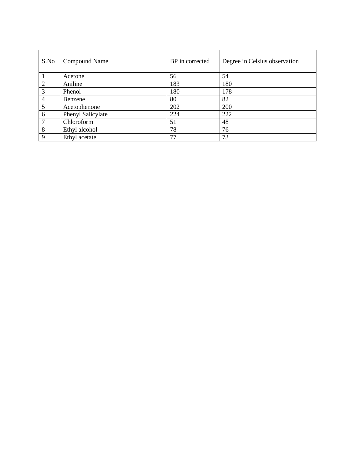| S.No           | Compound Name     | BP in corrected | Degree in Celsius observation |
|----------------|-------------------|-----------------|-------------------------------|
|                | Acetone           | 56              | 54                            |
| $\overline{2}$ | Aniline           | 183             | 180                           |
| 3              | Phenol            | 180             | 178                           |
| 4              | Benzene           | 80              | 82                            |
| 5              | Acetophenone      | 202             | 200                           |
| 6              | Phenyl Salicylate | 224             | 222                           |
| $\mathcal{I}$  | Chloroform        | 51              | 48                            |
| 8              | Ethyl alcohol     | 78              | 76                            |
| 9              | Ethyl acetate     | 77              | 73                            |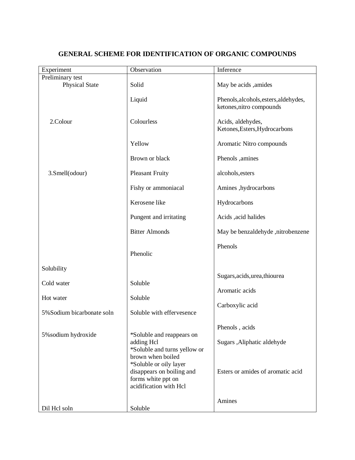| Experiment                 | Observation                                                                                         | Inference                                                         |
|----------------------------|-----------------------------------------------------------------------------------------------------|-------------------------------------------------------------------|
| Preliminary test           |                                                                                                     |                                                                   |
| <b>Physical State</b>      | Solid                                                                                               | May be acids, amides                                              |
|                            | Liquid                                                                                              | Phenols, alcohols, esters, aldehydes,<br>ketones, nitro compounds |
| 2.Colour                   | Colourless                                                                                          | Acids, aldehydes,<br>Ketones, Esters, Hydrocarbons                |
|                            | Yellow                                                                                              | Aromatic Nitro compounds                                          |
|                            | Brown or black                                                                                      | Phenols ,amines                                                   |
| 3.Smell(odour)             | <b>Pleasant Fruity</b>                                                                              | alcohols, esters                                                  |
|                            | Fishy or ammoniacal                                                                                 | Amines , hydrocarbons                                             |
|                            | Kerosene like                                                                                       | Hydrocarbons                                                      |
|                            | Pungent and irritating                                                                              | Acids , acid halides                                              |
|                            | <b>Bitter Almonds</b>                                                                               | May be benzaldehyde , nitrobenzene                                |
|                            | Phenolic                                                                                            | Phenols                                                           |
| Solubility                 |                                                                                                     |                                                                   |
| Cold water                 | Soluble                                                                                             | Sugars, acids, urea, thiourea                                     |
| Hot water                  | Soluble                                                                                             | Aromatic acids                                                    |
| 5% Sodium bicarbonate soln | Soluble with effervesence                                                                           | Carboxylic acid                                                   |
|                            |                                                                                                     | Phenols, acids                                                    |
| 5% sodium hydroxide        | *Soluble and reappears on<br>adding Hcl<br>*Soluble and turns yellow or<br>brown when boiled        | Sugars , Aliphatic aldehyde                                       |
|                            | *Soluble or oily layer<br>disappears on boiling and<br>forms white ppt on<br>acidification with Hcl | Esters or amides of aromatic acid                                 |
| Dil Hcl soln               | Soluble                                                                                             | Amines                                                            |

# **GENERAL SCHEME FOR IDENTIFICATION OF ORGANIC COMPOUNDS**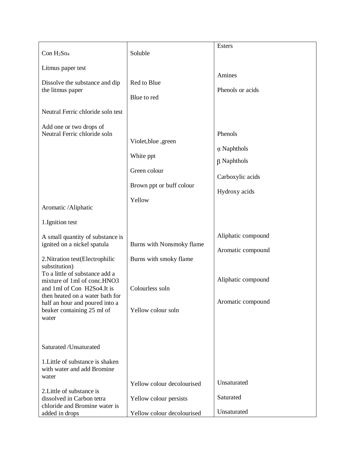| Con $H_2$ So <sub>4</sub>                                                                                                      | Soluble                          | Esters                                  |
|--------------------------------------------------------------------------------------------------------------------------------|----------------------------------|-----------------------------------------|
| Litmus paper test                                                                                                              |                                  | Amines                                  |
| Dissolve the substance and dip<br>the litmus paper                                                                             | Red to Blue<br>Blue to red       | Phenols or acids                        |
| Neutral Ferric chloride soln test                                                                                              |                                  |                                         |
| Add one or two drops of<br>Neutral Ferric chloride soln                                                                        | Violet, blue, green<br>White ppt | Phenols<br>α Naphthols                  |
|                                                                                                                                |                                  | β Naphthols                             |
|                                                                                                                                | Green colour                     | Carboxylic acids                        |
|                                                                                                                                | Brown ppt or buff colour         | Hydroxy acids                           |
| Aromatic /Aliphatic                                                                                                            | Yellow                           |                                         |
| 1. Ignition test                                                                                                               |                                  |                                         |
| A small quantity of substance is<br>ignited on a nickel spatula                                                                | Burns with Nonsmoky flame        | Aliphatic compound<br>Aromatic compound |
| 2. Nitration test(Electrophilic<br>substitution)                                                                               | Burns with smoky flame           |                                         |
| To a little of substance add a<br>mixture of 1ml of conc.HNO3<br>and 1ml of Con H2So4.It is<br>then heated on a water bath for | Colourless soln                  | Aliphatic compound                      |
| half an hour and poured into a<br>beaker containing 25 ml of<br>water                                                          | Yellow colour soln               | Aromatic compound                       |
|                                                                                                                                |                                  |                                         |
| Saturated / Unsaturated                                                                                                        |                                  |                                         |
| 1. Little of substance is shaken<br>with water and add Bromine<br>water                                                        |                                  |                                         |
| 2. Little of substance is                                                                                                      | Yellow colour decolourised       | Unsaturated                             |
| dissolved in Carbon tetra<br>chloride and Bromine water is                                                                     | Yellow colour persists           | Saturated                               |
| added in drops                                                                                                                 | Yellow colour decolourised       | Unsaturated                             |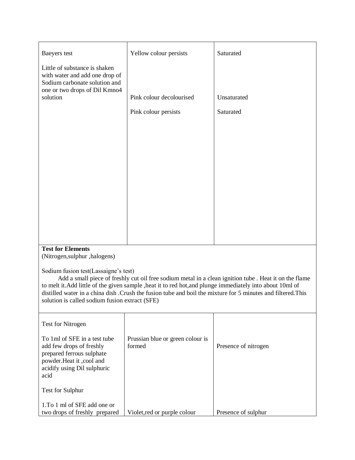| Baeyers test                                                                                                                      | Yellow colour persists   | Saturated   |
|-----------------------------------------------------------------------------------------------------------------------------------|--------------------------|-------------|
| Little of substance is shaken<br>with water and add one drop of<br>Sodium carbonate solution and<br>one or two drops of Dil Kmno4 |                          |             |
| solution                                                                                                                          | Pink colour decolourised | Unsaturated |
|                                                                                                                                   | Pink colour persists     | Saturated   |
|                                                                                                                                   |                          |             |
|                                                                                                                                   |                          |             |
|                                                                                                                                   |                          |             |
|                                                                                                                                   |                          |             |
|                                                                                                                                   |                          |             |
|                                                                                                                                   |                          |             |
|                                                                                                                                   |                          |             |
|                                                                                                                                   |                          |             |
|                                                                                                                                   |                          |             |
| $\mathbf{m}$ is $\mathbf{e}$ . The $\mathbf{u}$                                                                                   |                          |             |

# **Test for Elements**

(Nitrogen,sulphur ,halogens)

Sodium fusion test(Lassaigne's test)

 Add a small piece of freshly cut oil free sodium metal in a clean ignition tube . Heat it on the flame to melt it.Add little of the given sample ,heat it to red hot,and plunge immediately into about 10ml of distilled water in a china dish .Crush the fusion tube and boil the mixture for 5 minutes and filtered.This solution is called sodium fusion extract (SFE)

| <b>Test for Nitrogen</b>                                                                                                                                   |                                            |                      |
|------------------------------------------------------------------------------------------------------------------------------------------------------------|--------------------------------------------|----------------------|
| To 1 ml of SFE in a test tube<br>add few drops of freshly<br>prepared ferrous sulphate<br>powder. Heat it, cool and<br>acidify using Dil sulphuric<br>acid | Prussian blue or green colour is<br>formed | Presence of nitrogen |
| Test for Sulphur                                                                                                                                           |                                            |                      |
| 1. To 1 ml of SFE add one or<br>two drops of freshly prepared                                                                                              | Violet, red or purple colour               | Presence of sulphur  |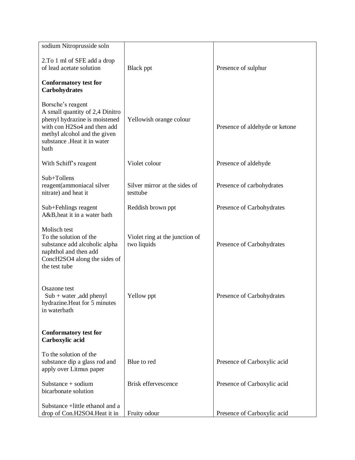| sodium Nitroprusside soln                                                                                                                                                                   |                                               |                                |
|---------------------------------------------------------------------------------------------------------------------------------------------------------------------------------------------|-----------------------------------------------|--------------------------------|
| 2. To 1 ml of SFE add a drop<br>of lead acetate solution                                                                                                                                    | Black ppt                                     | Presence of sulphur            |
| <b>Conformatory test for</b><br>Carbohydrates                                                                                                                                               |                                               |                                |
| Borsche's reagent<br>A small quantity of 2,4 Dinitro<br>phenyl hydrazine is moistened<br>with con H2So4 and then add<br>methyl alcohol and the given<br>substance .Heat it in water<br>bath | Yellowish orange colour                       | Presence of aldehyde or ketone |
| With Schiff's reagent                                                                                                                                                                       | Violet colour                                 | Presence of aldehyde           |
| Sub+Tollens<br>reagent(ammoniacal silver<br>nitrate) and heat it                                                                                                                            | Silver mirror at the sides of<br>testtube     | Presence of carbohydrates      |
| Sub+Fehlings reagent<br>A&B, heat it in a water bath                                                                                                                                        | Reddish brown ppt                             | Presence of Carbohydrates      |
| Molisch test<br>To the solution of the<br>substance add alcoholic alpha<br>naphthol and then add<br>ConcH2SO4 along the sides of<br>the test tube                                           | Violet ring at the junction of<br>two liquids | Presence of Carbohydrates      |
| Osazone test<br>$Sub + water$ , add phenyl<br>hydrazine. Heat for 5 minutes<br>in waterbath                                                                                                 | Yellow ppt                                    | Presence of Carbohydrates      |
| <b>Conformatory test for</b><br>Carboxylic acid                                                                                                                                             |                                               |                                |
| To the solution of the<br>substance dip a glass rod and<br>apply over Litmus paper                                                                                                          | Blue to red                                   | Presence of Carboxylic acid    |
| $Substance + sodium$<br>bicarbonate solution                                                                                                                                                | Brisk effervescence                           | Presence of Carboxylic acid    |
| Substance +little ethanol and a<br>drop of Con.H2SO4.Heat it in                                                                                                                             | Fruity odour                                  | Presence of Carboxylic acid    |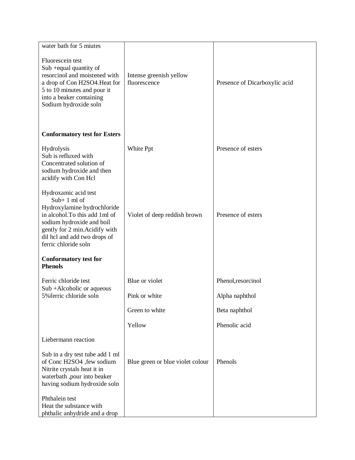| water bath for 5 miutes                                                                                                                                                                                                       |                                         |                               |
|-------------------------------------------------------------------------------------------------------------------------------------------------------------------------------------------------------------------------------|-----------------------------------------|-------------------------------|
| Fluorescein test<br>Sub + equal quantity of<br>resorcinol and moistened with<br>a drop of Con H2SO4. Heat for<br>5 to 10 minutes and pour it<br>into a beaker containing<br>Sodium hydroxide soln                             | Intense greenish yellow<br>fluorescence | Presence of Dicarboxylic acid |
| <b>Conformatory test for Esters</b>                                                                                                                                                                                           |                                         |                               |
| Hydrolysis<br>Sub is refluxed with<br>Concentrated solution of<br>sodium hydroxide and then<br>acidify with Con Hcl                                                                                                           | White Ppt                               | Presence of esters            |
| Hydroxamic acid test<br>$Sub+1$ ml of<br>Hydroxylamine hydrochloride<br>in alcohol. To this add 1ml of<br>sodium hydroxide and boil<br>gently for 2 min. Acidify with<br>dil hcl and add two drops of<br>ferric chloride soln | Violet of deep reddish brown            | Presence of esters            |
| <b>Conformatory test for</b><br><b>Phenols</b>                                                                                                                                                                                |                                         |                               |
| Ferric chloride test<br>Sub +Alcoholic or aqueous                                                                                                                                                                             | Blue or violet                          | Phenol, resorcinol            |
| 5% ferric chloride soln                                                                                                                                                                                                       | Pink or white                           | Alpha naphthol                |
|                                                                                                                                                                                                                               | Green to white                          | Beta naphthol                 |
|                                                                                                                                                                                                                               | Yellow                                  | Phenolic acid                 |
| Liebermann reaction                                                                                                                                                                                                           |                                         |                               |
| Sub in a dry test tube add 1 ml<br>of Conc H2SO4 , few sodium<br>Nitrite crystals heat it in<br>waterbath ,pour into beaker<br>having sodium hydroxide soln                                                                   | Blue green or blue violet colour        | Phenols                       |
| Phthalein test<br>Heat the substance with<br>phthalic anhydride and a drop                                                                                                                                                    |                                         |                               |